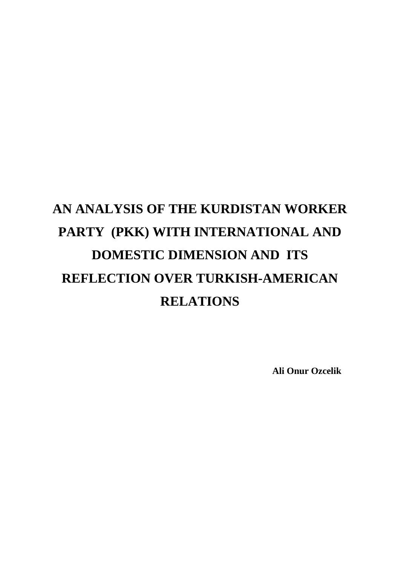# **AN ANALYSIS OF THE KURDISTAN WORKER PARTY (PKK) WITH INTERNATIONAL AND DOMESTIC DIMENSION AND ITS REFLECTION OVER TURKISH-AMERICAN RELATIONS**

**Ali Onur Ozcelik**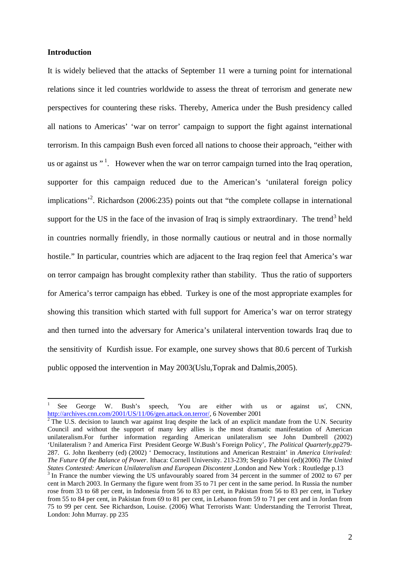### **Introduction**

It is widely believed that theattacks of September 1 were aturning pointfor international relationssince it bed countriesworldwide to assess the threat of terrorism and generate ne perspectives for countering these risks hereby, America under the Bush preside n called all nations to America E•war on terro Ecampaignto support the fight again staternational terrorism. In this campaign Bushevenforcedall nations to choosetheir approach, either with us oragainst ug<sup>-1</sup>. However when thewar on terror canpaign turned into the Iraxperation, supporter for thiscampaign reduced due to the American€sunilateral foreign policy implications€ 2 . Richardson(2006:235)points out that 'the complete collapse in international support for the US in the face of the vasion of Iraq is simply extraordinary. The trend d in countries normally friendly, in those normally cautious or neutral and in those normally hostile f In particular, countries which are adjacent the Iraq regionfeel that America war on terror campaign has brought compaity rather than stability. Thus the ratio of supporters for America ferror campaigmas ebbed. Turkey isone of the mostappropriate examples for showing this transition whichstarted with fullsupport for Americs war onterror strategy and then turned into the adversary for America examilateral intervention towards Iradue to the sensitivity of Kurdish issue For example, one survey shows that 80.6 percent of Turkish public opposed the intervention in May 2003(Uslu, Taxmend Dalmis, 2005).

See George W. Bush€s speechYou are either with us or against us', CNN, [http://archives.cnn.com/2001/US/11/06/gen.attack.on.te](http://archives.cnn.com/2001/US/11/06/gen.attack.on.terror/)ndwidterror 2001

 $2$  The U.S. decision to launch war against Iraq despite the lack of an explicit mandate from the U.N. Security Council and without the supptor many key allies is the most dramatic manifestation of American unilateralismFor further information regarding American unilateralism see Jomumbrell (2002) •Unilateralism ? and America First President George W.Bush€s Foreign FolierReliticalQuarterly,pp279-287. G. Johnikenberry(ed) (2002 • Democracy, Institutions and American Restraint Emmerica Unrivaled: The Future Of the Balance of Powethaca: Cornell University. 21239; SergioFabbini(ed)(2006)The United States Contested: Amigan Unilateralism and European Discontehbndon and New York : Routledge p.13 <sup>3</sup> In France the number viewing the US unfavourably soared from 34 percent in the summer of 2002 to 67 per cent in March 2003. In Germany the figure went from 35 to 71 perimetime same period. In Russia the number rose from 33 to 68 per cent, in Indonesia from 56 to 83 per cent, in Pakistan from 56 to 83 per cent, in Turkey from 55 to 84 per cent, in Pakistan from 69 to 81 per cent, in Lebanon from 59 to 71 per centcada infrom 75 to 99 per cent. Seeichardson, Louise. (2006) What Terrorists Want: Understanding the Terrorist Threat, London: John Murrayop 235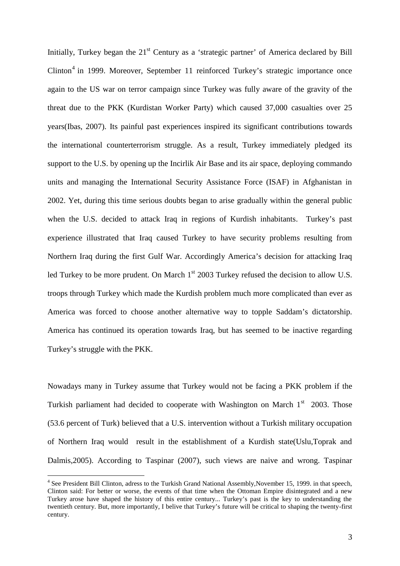Initially, Turkey began the 21<sup>st</sup> Century as a 'strategic partner' of America declared by Bill Clinton<sup>4</sup> in 1999. Moreover, September 11 reinforced Turkey's strategic importance once again to the US war on terror campaign since Turkey was fully aware of the gravity of the threat due to the PKK (Kurdistan Worker Party) which caused 37,000 casualties over 25 years(Ibas, 2007). Its painful past experiences inspired its significant contributions towards the international counterterrorism struggle. As a result, Turkey immediately pledged its support to the U.S. by opening up the Incirlik Air Base and its air space, deploying commando units and managing the International Security Assistance Force (ISAF) in Afghanistan in 2002. Yet, during this time serious doubts began to arise gradually within the general public when the U.S. decided to attack Iraq in regions of Kurdish inhabitants. Turkey's past experience illustrated that Iraq caused Turkey to have security problems resulting from Northern Iraq during the first Gulf War. Accordingly America's decision for attacking Iraq led Turkey to be more prudent. On March  $1<sup>st</sup>$  2003 Turkey refused the decision to allow U.S. troops through Turkey which made the Kurdish problem much more complicated than ever as America was forced to choose another alternative way to topple Saddam's dictatorship. America has continued its operation towards Iraq, but has seemed to be inactive regarding Turkey's struggle with the PKK.

Nowadays many in Turkey assume that Turkey would not be facing a PKK problem if the Turkish parliament had decided to cooperate with Washington on March  $1<sup>st</sup>$  2003. Those (53.6 percent of Turk) believed that a U.S. intervention without a Turkish military occupation of Northern Iraq would result in the establishment of a Kurdish state(Uslu,Toprak and Dalmis,2005). According to Taspinar (2007), such views are naive and wrong. Taspinar

<sup>&</sup>lt;sup>4</sup> See President Bill Clinton, adress to the Turkish Grand National Assembly, November 15, 1999. in that speech, Clinton said: For better or worse, the events of that time when the Ottoman Empire disintegrated and a new Turkey arose have shaped the history of this entire century... Turkey's past is the key to understanding the twentieth century. But, more importantly, I belive that Turkey's future will be critical to shaping the twenty-first century.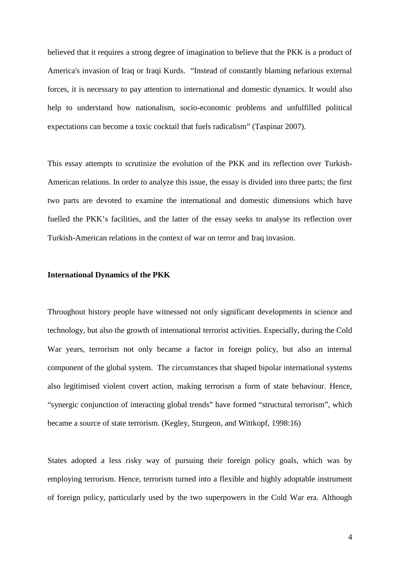believed that it requires a strong degree of imagination to believe that the PKK is a product of America's invasion of Iraq or Iraqi Kurds. "Instead of constantly blaming nefarious external forces, it is necessary to pay attention to international and domestic dynamics. It would also help to understand how nationalism, socio-economic problems and unfulfilled political expectations can become a toxic cocktail that fuels radicalism" (Taspinar 2007).

This essay attempts to scrutinize the evolution of the PKK and its reflection over Turkish-American relations. In order to analyze this issue, the essay is divided into three parts; the first two parts are devoted to examine the international and domestic dimensions which have fuelled the PKK's facilities, and the latter of the essay seeks to analyse its reflection over Turkish-American relations in the context of war on terror and Iraq invasion.

## **International Dynamics of the PKK**

Throughout history people have witnessed not only significant developments in science and technology, but also the growth of international terrorist activities. Especially, during the Cold War years, terrorism not only became a factor in foreign policy, but also an internal component of the global system. The circumstances that shaped bipolar international systems also legitimised violent covert action, making terrorism a form of state behaviour. Hence, "synergic conjunction of interacting global trends" have formed "structural terrorism", which became a source of state terrorism. (Kegley, Sturgeon, and Wittkopf, 1998:16)

States adopted a less risky way of pursuing their foreign policy goals, which was by employing terrorism. Hence, terrorism turned into a flexible and highly adoptable instrument of foreign policy, particularly used by the two superpowers in the Cold War era. Although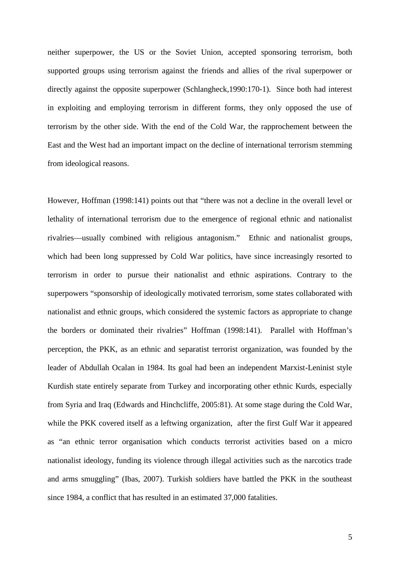neither superpower, the US or the Soviet Union, accepted sponsoring terrorism, both supported groups using terrorism against the friends and allies of the rival superpower or directly against the opposite superpower (Schlangheck,1990:170-1). Since both had interest in exploiting and employing terrorism in different forms, they only opposed the use of terrorism by the other side. With the end of the Cold War, the rapprochement between the East and the West had an important impact on the decline of international terrorism stemming from ideological reasons.

However, Hoffman (1998:141) points out that "there was not a decline in the overall level or lethality of international terrorism due to the emergence of regional ethnic and nationalist rivalries—usually combined with religious antagonism." Ethnic and nationalist groups, which had been long suppressed by Cold War politics, have since increasingly resorted to terrorism in order to pursue their nationalist and ethnic aspirations. Contrary to the superpowers "sponsorship of ideologically motivated terrorism, some states collaborated with nationalist and ethnic groups, which considered the systemic factors as appropriate to change the borders or dominated their rivalries" Hoffman (1998:141). Parallel with Hoffman's perception, the PKK, as an ethnic and separatist terrorist organization, was founded by the leader of Abdullah Ocalan in 1984. Its goal had been an independent Marxist-Leninist style Kurdish state entirely separate from Turkey and incorporating other ethnic Kurds, especially from Syria and Iraq (Edwards and Hinchcliffe, 2005:81). At some stage during the Cold War, while the PKK covered itself as a leftwing organization, after the first Gulf War it appeared as "an ethnic terror organisation which conducts terrorist activities based on a micro nationalist ideology, funding its violence through illegal activities such as the narcotics trade and arms smuggling" (Ibas, 2007). Turkish soldiers have battled the PKK in the southeast since 1984, a conflict that has resulted in an estimated 37,000 fatalities.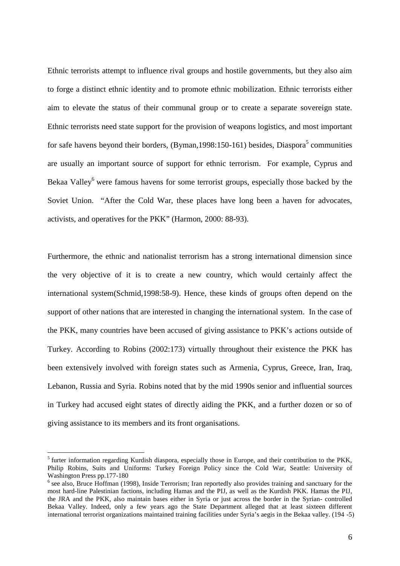Ethnic terrorists attempt to influence rival groups and hostile governments, but they also aim to forge a distinct ethnic identity and to promote ethnic mobilization. Ethnic terrorists either aim to elevate the status of their communal group or to create a separate sovereign state. Ethnic terrorists need state support for the provision of weapons logistics, and most important for safe havens beyond their borders, (Byman,1998:150-161) besides, Diaspora<sup>5</sup> communities are usually an important source of support for ethnic terrorism. For example, Cyprus and Bekaa Valley<sup>6</sup> were famous havens for some terrorist groups, especially those backed by the Soviet Union. "After the Cold War, these places have long been a haven for advocates, activists, and operatives for the PKK" (Harmon, 2000: 88-93).

Furthermore, the ethnic and nationalist terrorism has a strong international dimension since the very objective of it is to create a new country, which would certainly affect the international system(Schmid,1998:58-9). Hence, these kinds of groups often depend on the support of other nations that are interested in changing the international system. In the case of the PKK, many countries have been accused of giving assistance to PKK's actions outside of Turkey. According to Robins (2002:173) virtually throughout their existence the PKK has been extensively involved with foreign states such as Armenia, Cyprus, Greece, Iran, Iraq, Lebanon, Russia and Syria. Robins noted that by the mid 1990s senior and influential sources in Turkey had accused eight states of directly aiding the PKK, and a further dozen or so of giving assistance to its members and its front organisations.

<sup>&</sup>lt;sup>5</sup> furter information regarding Kurdish diaspora, especially those in Europe, and their contribution to the PKK, Philip Robins, Suits and Uniforms: Turkey Foreign Policy since the Cold War, Seattle: University of Washington Press pp.177-180

<sup>&</sup>lt;sup>6</sup> see also, Bruce Hoffman (1998), Inside Terrorism; Iran reportedly also provides training and sanctuary for the most hard-line Palestinian factions, including Hamas and the PIJ, as well as the Kurdish PKK. Hamas the PIJ, the JRA and the PKK, also maintain bases either in Syria or just across the border in the Syrian- controlled Bekaa Valley. Indeed, only a few years ago the State Department alleged that at least sixteen different international terrorist organizations maintained training facilities under Syria's aegis in the Bekaa valley. (194 -5)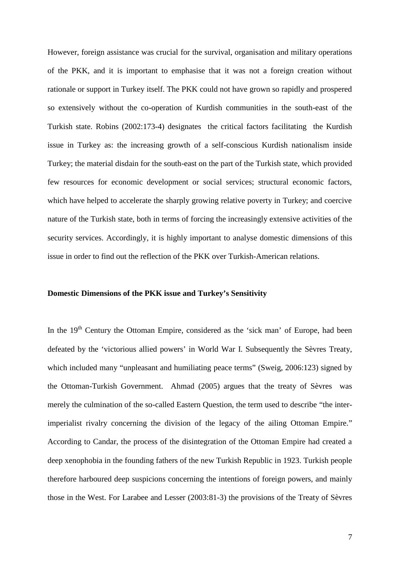However, foreign assistance was crucial for the survival, organisation and military operations of the PKK, and it is important to emphasise that it was not a foreign creation without rationale or support in Turkey itself. The PKK could not have grown so rapidly and prospered so extensively without the co-operation of Kurdish communities in the south-east of the Turkish state. Robins (2002:173-4) designates the critical factors facilitating the Kurdish issue in Turkey as: the increasing growth of a self-conscious Kurdish nationalism inside Turkey; the material disdain for the south-east on the part of the Turkish state, which provided few resources for economic development or social services; structural economic factors, which have helped to accelerate the sharply growing relative poverty in Turkey; and coercive nature of the Turkish state, both in terms of forcing the increasingly extensive activities of the security services. Accordingly, it is highly important to analyse domestic dimensions of this issue in order to find out the reflection of the PKK over Turkish-American relations.

#### **Domestic Dimensions of the PKK issue and Turkey's Sensitivity**

In the  $19<sup>th</sup>$  Century the Ottoman Empire, considered as the 'sick man' of Europe, had been defeated by the 'victorious allied powers' in World War I. Subsequently the Sèvres Treaty, which included many "unpleasant and humiliating peace terms" (Sweig, 2006:123) signed by the Ottoman-Turkish Government. Ahmad (2005) argues that the treaty of Sèvres was merely the culmination of the so-called Eastern Question, the term used to describe "the interimperialist rivalry concerning the division of the legacy of the ailing Ottoman Empire." According to Candar, the process of the disintegration of the Ottoman Empire had created a deep xenophobia in the founding fathers of the new Turkish Republic in 1923. Turkish people therefore harboured deep suspicions concerning the intentions of foreign powers, and mainly those in the West. For Larabee and Lesser (2003:81-3) the provisions of the Treaty of Sèvres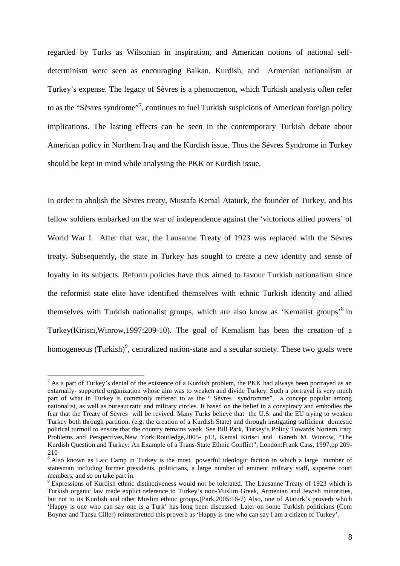regarded by Turks as Wilsonian in inspiration, and American notions of national selfdeterminism were seen as encouraging Balkan, Kurdish, and Armenian nationalism at Turkey's expense. The legacy of Sèvres is a phenomenon, which Turkish analysts often refer to as the "Sèvres syndrome"<sup>7</sup>, continues to fuel Turkish suspicions of American foreign policy implications. The lasting effects can be seen in the contemporary Turkish debate about American policy in Northern Iraq and the Kurdish issue. Thus the Sèvres Syndrome in Turkey should be kept in mind while analysing the PKK or Kurdish issue.

In order to abolish the Sèvres treaty, Mustafa Kemal Ataturk, the founder of Turkey, and his fellow soldiers embarked on the war of independence against the 'victorious allied powers' of World War I. After that war, the Lausanne Treaty of 1923 was replaced with the Sèvres treaty. Subsequently, the state in Turkey has sought to create a new identity and sense of loyalty in its subjects. Reform policies have thus aimed to favour Turkish nationalism since the reformist state elite have identified themselves with ethnic Turkish identity and allied themselves with Turkish nationalist groups, which are also know as 'Kemalist groups'<sup>8</sup> in Turkey(Kirisci,Winrow,1997:209-10). The goal of Kemalism has been the creation of a homogeneous (Turkish)<sup>9</sup>, centralized nation-state and a secular society. These two goals were

 $<sup>7</sup>$  As a part of Turkey's denial of the existence of a Kurdish problem, the PKK had always been portrayed as an</sup> extarnally- supported organization whose aim was to weaken and divide Turkey. Such a portrayal is very much part of what in Turkey is commonly reffered to as the " Sèvres syndromme", a concept popular among nationalist, as well as bureaucratic and military circles. It based on the belief in a conspiracy and embodies the fear that the Treaty of Sèvres will be revived. Many Turks believe that the U.S. and the EU trying to weaken Turkey both through partition. (e.g. the creation of a Kurdish State) and through instigating sufficient domestic political turmoil to ensure that the country remains weak. See Bill Park, Turkey's Policy Towards Nortern Iraq: Problems and Perspectives,New York:Routledge,2005- p13, Kemal Kirisci and Gareth M. Winrow, "The Kurdish Question and Turkey: An Example of a Trans-State Ethnic Conflict", London:Frank Cass, 1997,pp 209- 210

<sup>&</sup>lt;sup>8</sup> Also known as Laic Camp in Turkey is the most powerful ideologic faction in which a large number of statesman including former presidents, politicians, a large number of eminent military staff, supreme court members, and so on take part in.

<sup>&</sup>lt;sup>9</sup> Expressions of Kurdish ethnic distinctiveness would not be tolerated. The Lausanne Treaty of 1923 which is Turkish organic law made explict reference to Turkey's non-Muslim Greek, Armenian and Jewish minorities, but not to its Kurdish and other Muslim ethnic groups.(Park,2005:16-7) Also, one of Ataturk's proverb which 'Happy is one who can say one is a Turk' has long been discussed. Later on some Turkish politicians (Cem Boyner and Tansu Ciller) reinterpretted this proverb as 'Happy is one who can say I am a citizen of Turkey'.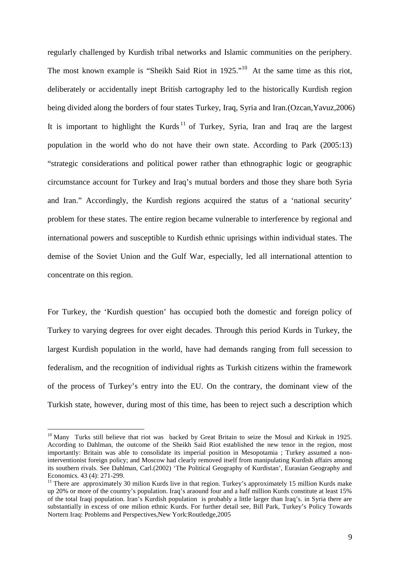regularly challenged by Kurdish tribal networks and Islamic communities on the periphery. The most known example is "Sheikh Said Riot in  $1925."^{10}$  At the same time as this riot, deliberately or accidentally inept British cartography led to the historically Kurdish region being divided along the borders of four states Turkey, Iraq, Syria and Iran.(Ozcan,Yavuz,2006) It is important to highlight the Kurds<sup>11</sup> of Turkey, Syria, Iran and Iraq are the largest population in the world who do not have their own state. According to Park (2005:13) "strategic considerations and political power rather than ethnographic logic or geographic circumstance account for Turkey and Iraq's mutual borders and those they share both Syria and Iran." Accordingly, the Kurdish regions acquired the status of a 'national security' problem for these states. The entire region became vulnerable to interference by regional and international powers and susceptible to Kurdish ethnic uprisings within individual states. The demise of the Soviet Union and the Gulf War, especially, led all international attention to concentrate on this region.

For Turkey, the 'Kurdish question' has occupied both the domestic and foreign policy of Turkey to varying degrees for over eight decades. Through this period Kurds in Turkey, the largest Kurdish population in the world, have had demands ranging from full secession to federalism, and the recognition of individual rights as Turkish citizens within the framework of the process of Turkey's entry into the EU. On the contrary, the dominant view of the Turkish state, however, during most of this time, has been to reject such a description which

<sup>&</sup>lt;sup>10</sup> Many Turks still believe that riot was backed by Great Britain to seize the Mosul and Kirkuk in 1925. According to Dahlman, the outcome of the Sheikh Said Riot established the new tenor in the region, most importantly: Britain was able to consolidate its imperial position in Mesopotamia ; Turkey assumed a noninterventionist foreign policy; and Moscow had clearly removed itself from manipulating Kurdish affairs among its southern rivals. See Dahlman, Carl.(2002) 'The Political Geography of Kurdistan', Eurasian Geography and Economics. 43 (4): 271-299.

<sup>&</sup>lt;sup>11</sup> There are approximately 30 milion Kurds live in that region. Turkey's approximately 15 million Kurds make up 20% or more of the country's population. Iraq's araound four and a half million Kurds constitute at least 15% of the total Iraqi population. Iran's Kurdish population is probably a little larger than Iraq's. in Syria there are substantially in excess of one milion ethnic Kurds. For further detail see, Bill Park, Turkey's Policy Towards Nortern Iraq: Problems and Perspectives,New York:Routledge,2005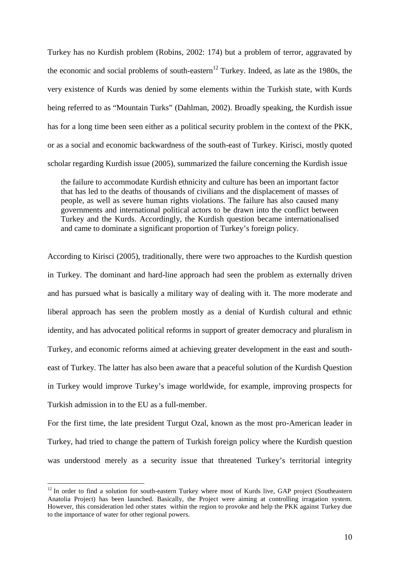Turkey has no Kurdish problem (Robins, 2002: 174) but a problem of terror, aggravated by the economic and social problems of south-eastern<sup>12</sup> Turkey. Indeed, as late as the 1980s, the very existence of Kurds was denied by some elements within the Turkish state, with Kurds being referred to as "Mountain Turks" (Dahlman, 2002). Broadly speaking, the Kurdish issue has for a long time been seen either as a political security problem in the context of the PKK, or as a social and economic backwardness of the south-east of Turkey. Kirisci, mostly quoted scholar regarding Kurdish issue (2005), summarized the failure concerning the Kurdish issue

the failure to accommodate Kurdish ethnicity and culture has been an important factor that has led to the deaths of thousands of civilians and the displacement of masses of people, as well as severe human rights violations. The failure has also caused many governments and international political actors to be drawn into the conflict between Turkey and the Kurds. Accordingly, the Kurdish question became internationalised and came to dominate a significant proportion of Turkey's foreign policy.

According to Kirisci (2005), traditionally, there were two approaches to the Kurdish question in Turkey. The dominant and hard-line approach had seen the problem as externally driven and has pursued what is basically a military way of dealing with it. The more moderate and liberal approach has seen the problem mostly as a denial of Kurdish cultural and ethnic identity, and has advocated political reforms in support of greater democracy and pluralism in Turkey, and economic reforms aimed at achieving greater development in the east and southeast of Turkey. The latter has also been aware that a peaceful solution of the Kurdish Question in Turkey would improve Turkey's image worldwide, for example, improving prospects for Turkish admission in to the EU as a full-member.

For the first time, the late president Turgut Ozal, known as the most pro-American leader in Turkey, had tried to change the pattern of Turkish foreign policy where the Kurdish question was understood merely as a security issue that threatened Turkey's territorial integrity

<sup>&</sup>lt;sup>12</sup> In order to find a solution for south-eastern Turkey where most of Kurds live, GAP project (Southeastern Anatolia Project) has been launched. Basically, the Project were aiming at controlling irragation system. However, this consideration led other states within the region to provoke and help the PKK against Turkey due to the importance of water for other regional powers.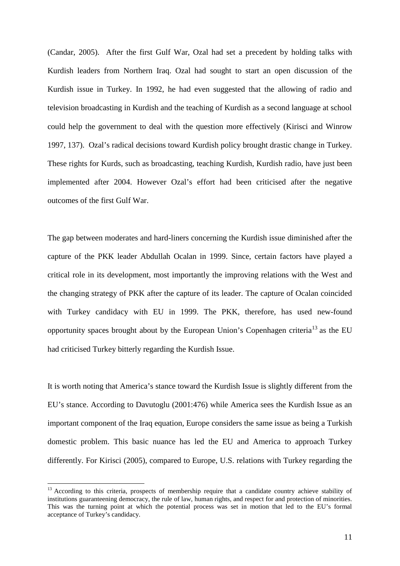(Candar, 2005). After the first Gulf War, Ozal had set a precedent by holding talks with Kurdish leaders from Northern Iraq. Ozal had sought to start an open discussion of the Kurdish issue in Turkey. In 1992, he had even suggested that the allowing of radio and television broadcasting in Kurdish and the teaching of Kurdish as a second language at school could help the government to deal with the question more effectively (Kirisci and Winrow 1997, 137). Ozal's radical decisions toward Kurdish policy brought drastic change in Turkey. These rights for Kurds, such as broadcasting, teaching Kurdish, Kurdish radio, have just been implemented after 2004. However Ozal's effort had been criticised after the negative outcomes of the first Gulf War.

The gap between moderates and hard-liners concerning the Kurdish issue diminished after the capture of the PKK leader Abdullah Ocalan in 1999. Since, certain factors have played a critical role in its development, most importantly the improving relations with the West and the changing strategy of PKK after the capture of its leader. The capture of Ocalan coincided with Turkey candidacy with EU in 1999. The PKK, therefore, has used new-found opportunity spaces brought about by the European Union's Copenhagen criteria<sup>13</sup> as the EU had criticised Turkey bitterly regarding the Kurdish Issue.

It is worth noting that America's stance toward the Kurdish Issue is slightly different from the EU's stance. According to Davutoglu (2001:476) while America sees the Kurdish Issue as an important component of the Iraq equation, Europe considers the same issue as being a Turkish domestic problem. This basic nuance has led the EU and America to approach Turkey differently. For Kirisci (2005), compared to Europe, U.S. relations with Turkey regarding the

<sup>&</sup>lt;sup>13</sup> According to this criteria, prospects of membership require that a candidate country achieve stability of institutions guaranteening democracy, the rule of law, human rights, and respect for and protection of minorities. This was the turning point at which the potential process was set in motion that led to the EU's formal acceptance of Turkey's candidacy.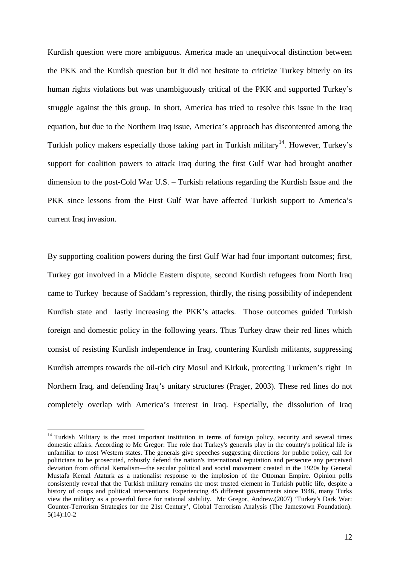Kurdish question were more ambiguous. America made an unequivocal distinction between the PKK and the Kurdish question but it did not hesitate to criticize Turkey bitterly on its human rights violations but was unambiguously critical of the PKK and supported Turkey's struggle against the this group. In short, America has tried to resolve this issue in the Iraq equation, but due to the Northern Iraq issue, America's approach has discontented among the Turkish policy makers especially those taking part in Turkish military<sup>14</sup>. However, Turkey's support for coalition powers to attack Iraq during the first Gulf War had brought another dimension to the post-Cold War U.S. – Turkish relations regarding the Kurdish Issue and the PKK since lessons from the First Gulf War have affected Turkish support to America's current Iraq invasion.

By supporting coalition powers during the first Gulf War had four important outcomes; first, Turkey got involved in a Middle Eastern dispute, second Kurdish refugees from North Iraq came to Turkey because of Saddam's repression, thirdly, the rising possibility of independent Kurdish state and lastly increasing the PKK's attacks. Those outcomes guided Turkish foreign and domestic policy in the following years. Thus Turkey draw their red lines which consist of resisting Kurdish independence in Iraq, countering Kurdish militants, suppressing Kurdish attempts towards the oil-rich city Mosul and Kirkuk, protecting Turkmen's right in Northern Iraq, and defending Iraq's unitary structures (Prager, 2003). These red lines do not completely overlap with America's interest in Iraq. Especially, the dissolution of Iraq

<sup>&</sup>lt;sup>14</sup> Turkish Military is the most important institution in terms of foreign policy, security and several times domestic affairs. According to Mc Gregor: The role that Turkey's generals play in the country's political life is unfamiliar to most Western states. The generals give speeches suggesting directions for public policy, call for politicians to be prosecuted, robustly defend the nation's international reputation and persecute any perceived deviation from official Kemalism—the secular political and social movement created in the 1920s by General Mustafa Kemal Ataturk as a nationalist response to the implosion of the Ottoman Empire. Opinion polls consistently reveal that the Turkish military remains the most trusted element in Turkish public life, despite a history of coups and political interventions. Experiencing 45 different governments since 1946, many Turks view the military as a powerful force for national stability. Mc Gregor, Andrew.(2007) 'Turkey's Dark War: Counter-Terrorism Strategies for the 21st Century', Global Terrorism Analysis (The Jamestown Foundation). 5(14):10-2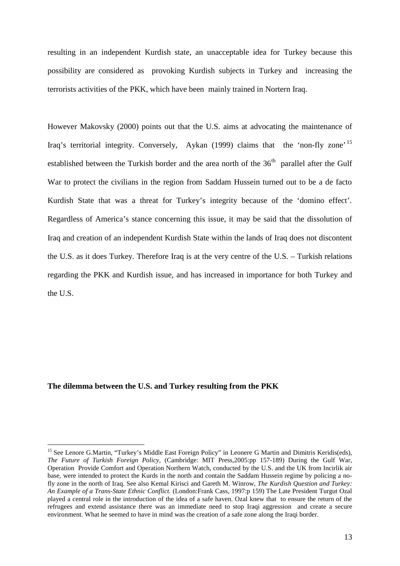resulting in an independent Kurdish state, an unacceptable idea for Turkey because this possibility are considered as provoking Kurdish subjects in Turkey and increasing the terrorists activities of the PKK, which have been mainly trained in Nortern Iraq.

However Makovsky (2000) points out that the U.S. aims at advocating the maintenance of Iraq's territorial integrity. Conversely, Aykan (1999) claims that the 'non-fly zone'<sup>15</sup> established between the Turkish border and the area north of the  $36<sup>th</sup>$  parallel after the Gulf War to protect the civilians in the region from Saddam Hussein turned out to be a de facto Kurdish State that was a threat for Turkey's integrity because of the 'domino effect'. Regardless of America's stance concerning this issue, it may be said that the dissolution of Iraq and creation of an independent Kurdish State within the lands of Iraq does not discontent the U.S. as it does Turkey. Therefore Iraq is at the very centre of the U.S. – Turkish relations regarding the PKK and Kurdish issue, and has increased in importance for both Turkey and the U.S.

#### **The dilemma between the U.S. and Turkey resulting from the PKK**

<sup>&</sup>lt;sup>15</sup> See Lenore G.Martin, "Turkey's Middle East Foreign Policy" in Leonere G Martin and Dimitris Keridis(eds), *The Future of Turkish Foreign Policy,* (Cambridge: MIT Press,2005:pp 157-189) During the Gulf War, Operation Provide Comfort and Operation Northern Watch, conducted by the U.S. and the UK from Incirlik air base, were intended to protect the Kurds in the north and contain the Saddam Hussein regime by policing a nofly zone in the north of Iraq. See also Kemal Kirisci and Gareth M. Winrow, *The Kurdish Question and Turkey: An Example of a Trans-State Ethnic Conflict.* (London:Frank Cass, 1997:p 159) The Late President Turgut Ozal played a central role in the introduction of the idea of a safe haven. Ozal knew that to ensure the return of the refrugees and extend assistance there was an immediate need to stop Iraqi aggression and create a secure environment. What he seemed to have in mind was the creation of a safe zone along the Iraqi border.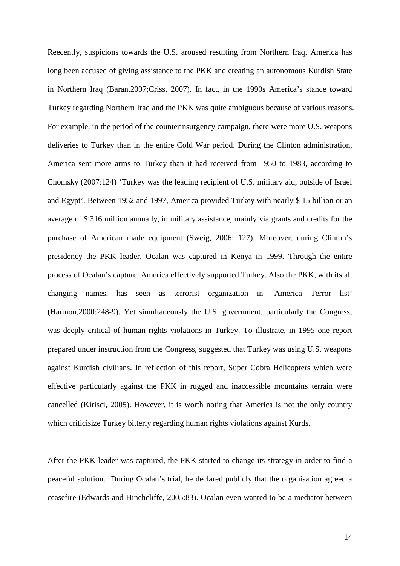Reecently, suspicions towards the U.S. aroused resulting from Northern Iraq. America has long been accused of giving assistance to the PKK and creating an autonomous Kurdish State in Northern Iraq (Baran,2007;Criss, 2007). In fact, in the 1990s America's stance toward Turkey regarding Northern Iraq and the PKK was quite ambiguous because of various reasons. For example, in the period of the counterinsurgency campaign, there were more U.S. weapons deliveries to Turkey than in the entire Cold War period. During the Clinton administration, America sent more arms to Turkey than it had received from 1950 to 1983, according to Chomsky (2007:124) 'Turkey was the leading recipient of U.S. military aid, outside of Israel and Egypt'. Between 1952 and 1997, America provided Turkey with nearly \$ 15 billion or an average of \$ 316 million annually, in military assistance, mainly via grants and credits for the purchase of American made equipment (Sweig, 2006: 127). Moreover, during Clinton's presidency the PKK leader, Ocalan was captured in Kenya in 1999. Through the entire process of Ocalan's capture, America effectively supported Turkey. Also the PKK, with its all changing names, has seen as terrorist organization in 'America Terror list' (Harmon,2000:248-9). Yet simultaneously the U.S. government, particularly the Congress, was deeply critical of human rights violations in Turkey. To illustrate, in 1995 one report prepared under instruction from the Congress, suggested that Turkey was using U.S. weapons against Kurdish civilians. In reflection of this report, Super Cobra Helicopters which were effective particularly against the PKK in rugged and inaccessible mountains terrain were cancelled (Kirisci, 2005). However, it is worth noting that America is not the only country which criticisize Turkey bitterly regarding human rights violations against Kurds.

After the PKK leader was captured, the PKK started to change its strategy in order to find a peaceful solution. During Ocalan's trial, he declared publicly that the organisation agreed a ceasefire (Edwards and Hinchcliffe, 2005:83). Ocalan even wanted to be a mediator between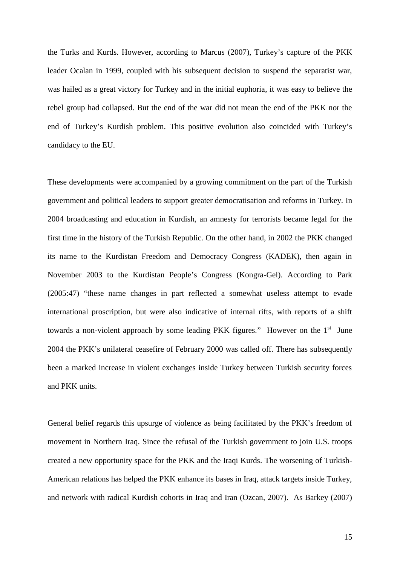the Turks and Kurds. However, according to Marcus (2007), Turkey's capture of the PKK leader Ocalan in 1999, coupled with his subsequent decision to suspend the separatist war, was hailed as a great victory for Turkey and in the initial euphoria, it was easy to believe the rebel group had collapsed. But the end of the war did not mean the end of the PKK nor the end of Turkey's Kurdish problem. This positive evolution also coincided with Turkey's candidacy to the EU.

These developments were accompanied by a growing commitment on the part of the Turkish government and political leaders to support greater democratisation and reforms in Turkey. In 2004 broadcasting and education in Kurdish, an amnesty for terrorists became legal for the first time in the history of the Turkish Republic. On the other hand, in 2002 the PKK changed its name to the Kurdistan Freedom and Democracy Congress (KADEK), then again in November 2003 to the Kurdistan People's Congress (Kongra-Gel). According to Park (2005:47) "these name changes in part reflected a somewhat useless attempt to evade international proscription, but were also indicative of internal rifts, with reports of a shift towards a non-violent approach by some leading PKK figures." However on the  $1<sup>st</sup>$  June 2004 the PKK's unilateral ceasefire of February 2000 was called off. There has subsequently been a marked increase in violent exchanges inside Turkey between Turkish security forces and PKK units.

General belief regards this upsurge of violence as being facilitated by the PKK's freedom of movement in Northern Iraq. Since the refusal of the Turkish government to join U.S. troops created a new opportunity space for the PKK and the Iraqi Kurds. The worsening of Turkish-American relations has helped the PKK enhance its bases in Iraq, attack targets inside Turkey, and network with radical Kurdish cohorts in Iraq and Iran (Ozcan, 2007). As Barkey (2007)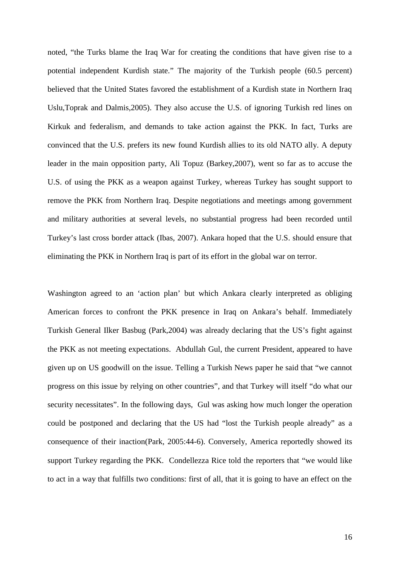noted, "the Turks blame the Iraq War for creating the conditions that have given rise to a potential independent Kurdish state." The majority of the Turkish people (60.5 percent) believed that the United States favored the establishment of a Kurdish state in Northern Iraq Uslu,Toprak and Dalmis,2005). They also accuse the U.S. of ignoring Turkish red lines on Kirkuk and federalism, and demands to take action against the PKK. In fact, Turks are convinced that the U.S. prefers its new found Kurdish allies to its old NATO ally. A deputy leader in the main opposition party, Ali Topuz (Barkey,2007), went so far as to accuse the U.S. of using the PKK as a weapon against Turkey, whereas Turkey has sought support to remove the PKK from Northern Iraq. Despite negotiations and meetings among government and military authorities at several levels, no substantial progress had been recorded until Turkey's last cross border attack (Ibas, 2007). Ankara hoped that the U.S. should ensure that eliminating the PKK in Northern Iraq is part of its effort in the global war on terror.

Washington agreed to an 'action plan' but which Ankara clearly interpreted as obliging American forces to confront the PKK presence in Iraq on Ankara's behalf. Immediately Turkish General Ilker Basbug (Park,2004) was already declaring that the US's fight against the PKK as not meeting expectations. Abdullah Gul, the current President, appeared to have given up on US goodwill on the issue. Telling a Turkish News paper he said that "we cannot progress on this issue by relying on other countries", and that Turkey will itself "do what our security necessitates". In the following days, Gul was asking how much longer the operation could be postponed and declaring that the US had "lost the Turkish people already" as a consequence of their inaction(Park, 2005:44-6). Conversely, America reportedly showed its support Turkey regarding the PKK. Condellezza Rice told the reporters that "we would like to act in a way that fulfills two conditions: first of all, that it is going to have an effect on the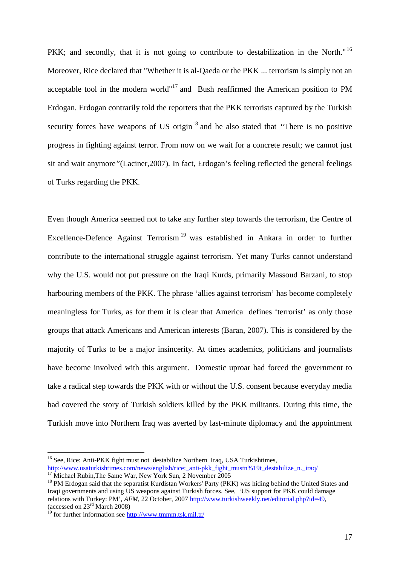PKK; and secondly, that it is not going to contribute to destabilization in the N $\delta$ rth." Moreover, Rice declared that Whether it is a Qaeda or the PKK. terrorism is simply not an acceptable tool in the modern world and Bush reaffirmed the American position RM Erdogan. Erdogancontrarilytold the reporters that the PKK terrorists captured by the Turkish security forces have weapons of US or  $\frac{1}{2}$  and he also stated that here is no positive progress in fighting against terror. From now on we wait for a concrete result; we cannot just sit and wait anymore (Laciner, 2007). In fact, Erdogan €s feeling reflected the general feelings of Turks regardinghe PKK.

Even thoughAmerica seemed not to take any furt step towards the terrorism, the Centre of ExcellenceDefence Against Terrorism<sup>19</sup> was established n Ankara in order to further contribute to the international struggle against terroriset many Turks cannot understand why the U.S. would not put pressure on the Iraqi Kurds, primarily Massoud Barzani, to stop harbouring members of the PKK. The phrase •allies against terrorism fecome completely meaningless for Turks, as for them it is cleart than trica defines •terrorist as only those groups that attack Americans and American interests (Baran, 2007). This is considered by the majority of Turks to be a majon sincerity. At times academics, politicians and journalists have become involved witthis argument. Domestic uproathad forced the government to take a radical step towards the PKK with or without the U.S. consent because everyday media had covered the story of Turkish soldiers killed by the PKK militant suring this time, the Turkish move into Northern Iraq was averted by last hute diplomacy and the appointment

<sup>&</sup>lt;sup>16</sup> See, Rice: Anti-PKK fight mustnot destabilize Northern Iraq, USA Turkishtimes, http://www.usaturkishtimes.com/news/english/rice:\_\_**\_\_\_\_\_\_\_\_\_\_\_\_\_\_\_\_\_\_\_\_\_\_\_\_\_\_\_\_\_**<br>17.

Michael RubinThe Same War, New York Sun, 2 November 2005

<sup>18</sup> PM Erdogan said that the separatts Kurdistan Workers' Party (PKK) was hiding behind the United States and Iraqi governments and using US weapons against Turkish forces. US support for PKK could damage relations with Turkey: PM4FM, 22 October, 200Mttp://www.turkishweekly.net/editorial.php?id=49 (accessed on 23March 2008)

<sup>&</sup>lt;sup>9</sup> for further information sebttp://www.tmmm.tsk.mil.tr/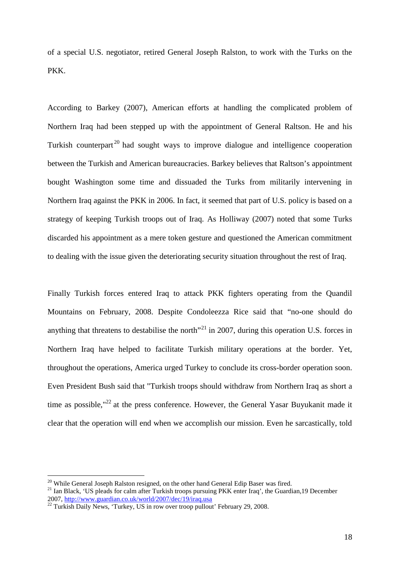of a special U.S. negotiator, retired General Joseph Ralston, to work with the Turks on the PKK.

According to Barkey(2007), American efforts at hathing the complicated problem of Northern Iraq hadbeen stepped up with the appoinet of General Raltson. He and sh Turkish counterpart had sought ways to improve dialogue and intelligence cooperation between the Turkish and American bureaucraBaskey believes tha Raltson €appointment bought Washington some time and dissuaded the Turks militarily intervening in Northern Iraq against the PKK in 2006 fact, it seemed hat part of U.S. policy is based on a strategy of keeping Turkish troops out of Iran Holliway (2007) noted that some Turks discarded his appointment as a mere token gesture and questioned the American commitment to dealing with the issue given the deteriorating security situation throughout the rest of Iraq.

Finally Turkish forcesentered Iraq to taack PKK fighters operating from the Quandil Mountains on February, 2008 Despite Condoleeza Rice said that no-one should do anything that threatens to destabilise the not tin 2007, during this operation U. Sorces in Northern Iraq have helped tracilitate Turkish military operations at the borderet, throughout the operations, America urged Turkey onclude its crosborder operations oon Even Presiden Bushsaid that "Turksh troops should withdraw from Onthern Iraq asshort a time as possibe,  $n^{22}$  at the press conferende owever, the General Yasar Buyukanit made it clear that the operation will end when we acconhotion mission. Even he sarcastically, told

<sup>&</sup>lt;sup>20</sup> While GeneralJoseph Ralstoresigred, on the other hand General Edip Baser was fired.

<sup>21</sup> Ian Black, •US pleads for calm after Turkish troops pursuing PKK enter Iraq€, the Guardian,19 December 2007, [http://www.guardian.co.uk/world/2007/dec/19/iraq.u](http://www.guardian.co.uk/world/2007/dec/19/iraq.usa)sa

<sup>&</sup>lt;sup>22</sup> Turkish Daily News, •Turkey, US in row over troop pullout€ February 29, 2008.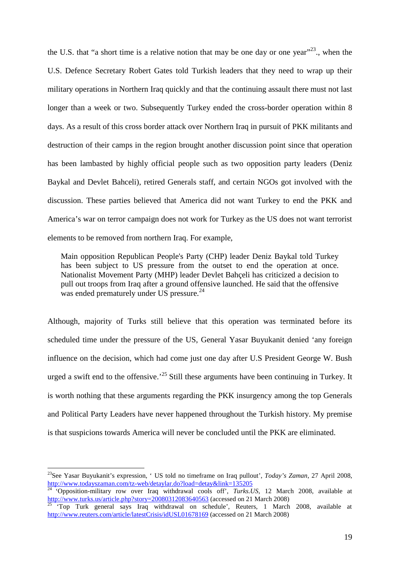the U.S. thata short time isa relativenotion that may be one day or one y $\cancel{e}$  at, when the U.S. Defene Secretary Robert Gatesd Turkish leaders that they need to wrap up their military operations in Northern Iraq quickly and that the continuing assault there must as longer than a week or tw $\mathcal S$ ubsequentlyTurkey endedthe crossborderoperationwithin 8 days As a result of this ross border attack over olthern Iragin pursuit of PKK militants and destruction of their camps in the region brought another discussion similation destruction has been lambasted by highly officiationle such as two opposition party lead a beniz Baykal and Devlet Bahceli) retired Generalstaff, and certainNGOs got involved with the discussion. Thee partiesbelieved that America did not want Turkey to end the PKK and Americas war on terror capaign does not work for Turkey as the US does not want terrorist elements to be removed from northern Iraq. For example,

Main opposition Republican People's Party (CHP) leader Deniz Baykal told Turkey has been subject to US pressure from the outset dot the operation at once. Nationalist Movement Party (MHP) ader Devlet Bahceli has iticized a decision to pull out troops from Iraq after a ground offensive launched. He said that the offensive was ended prematurely under US presstre.

Although, majority of Turks still believe that this operation was terminated before its scheduled time under the pressure of the General Yasar Buyukanit deniedny foreign influence on the decision, which had come just one day after U.S President George W. Bush urgeda swift end to the offensive<sup>25</sup> Still these argumentsavebeen continuingn Turkey. It is worth nothing thattheseargumentsregarding the PKK insurgency mong the top Generals and Political Party Leaders wenever happeneth roughout the Turkish histo. My premise is thatsuspicionstowards Americawill never beconcluded untilthe PKK are eliminated.

<sup>&</sup>lt;sup>23</sup>See Yasar Buyukanit€s expressiobl, betold no timeframe on Iraq pullo EutToday, s Zaman 27 April 2008, http://www.todayszaman.com/tzeb/detaylar.do?load=detay&link=135205

 $24$  •Opposition-military row over Iraq withdrawal cools off Turks.US 12 March 2008, available at [http://www.turks.us/article.ph](http://www.turks.us/article.php)p?story=20080312083640566868 (an 21 March 2008)

<sup>25</sup> •Top Turk general says Iraq withdrawal on schedule€, Reuters, 1 March 2008, available at http://www.reuters.com/article/latestCrisis/idUSL016781 @cessed on 21 March 2008)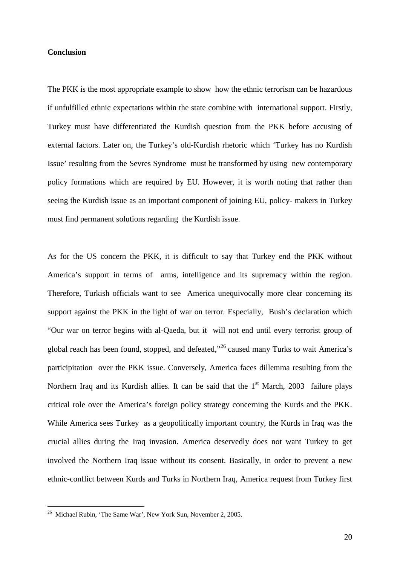## **Conclusion**

The PKK is the most ppropriate example to show how the ethnic terrorism an be hazardous if unfulfilled ethnicexpectations within the state combine with international supportistly, Turkey must have differentiated the Kurdish question from the PKK before accusing of external factors. Later onthe Turkey€s oldurdish rhetoric which •Turkey has no Kurdish Issue€ resulting from the vres Syndrome must betransformed by using new contemporary policy formations which are required by EU. However is worth noting that rather than seeing the Kurdish issue as an important component of joining aldy- makers in Turkey must find pemanent solutions regarding the Kurdish issue.

As for the US concern the PKK it is difficult to say that Turkey end the PKK without America€s support in terms of arms, intelligence and unit are acywithin the region. Therefore, Turkish officials warto see America unequivocallymore clear concerning its support against the PKK the light of war on terror. Especiall\Bush€declaration which , Our war on terror begins with -@aeda, but it will not end until every terrorist group of global reacthas been found, stopped, and defeated be deny Turksto wait America€s participitation over the PKK issue. Conversely, America faces dillemma resulting from the Northern Iraq and its Kurdisallies. It can be said that the<sup>st</sup> March, 2003 failure lays critical role over the America€s foreign policy strategy cerning the Kurds and the PKK While America sees Turkey as a geopolitically important country, the Kurds in was the crucial allies during the Iraq invasion America deservedly does notwant Turkey to get involved the Northern Iraq issue without its consent. Basically and to prevent a new ethnic-conflict between Kurds and Turks in Northern Iramerica request from Turkey first

20

<sup>&</sup>lt;sup>26</sup> Michael Rubin.•The Same Wan New York Sun November 2, 2005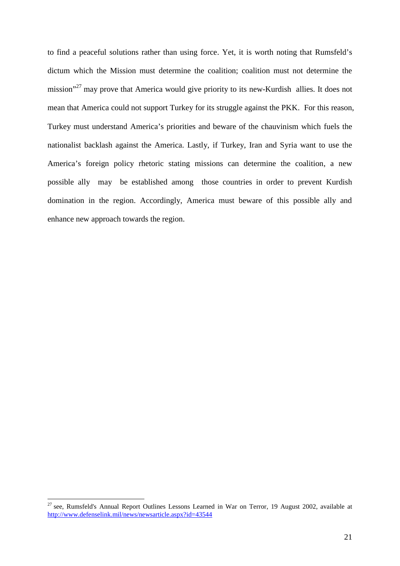to find a peaceful solutions rather than using force. Yet, it is worth noting that Rumsfeld's dictum which the Mission must determine the coalition; coalition must not determine the mission"<sup>27</sup> may prove that America would give priority to its new-Kurdish allies. It does not mean that America could not support Turkey for its struggle against the PKK. For this reason, Turkey must understand America's priorities and beware of the chauvinism which fuels the nationalist backlash against the America. Lastly, if Turkey, Iran and Syria want to use the America's foreign policy rhetoric stating missions can determine the coalition, a new possible ally may be established among those countries in order to prevent Kurdish domination in the region. Accordingly, America must beware of this possible ally and enhance new approach towards the region.

<sup>&</sup>lt;sup>27</sup> see, Rumsfeld's Annual Report Outlines Lessons Learned in War on Terror, 19 August 2002, available at http://www.defenselink.mil/news/newsarticle.aspx?id=43544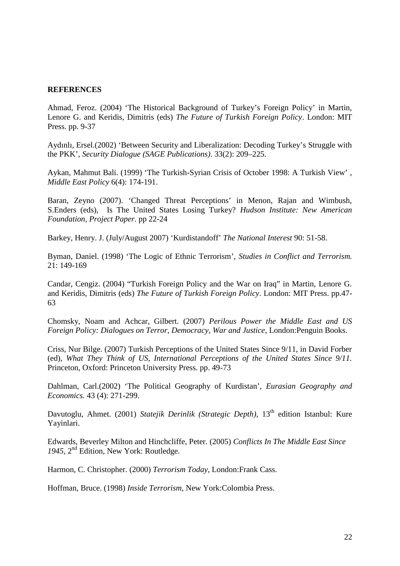## **REFERENCES**

Ahmad, Feroz. (2004) •The Historical Background of Turkey€s Foreign Policy€ in Martin, Lenore G. and Keridis, Dimitris (eds)he Future of Turkish Foreign Polic London: MIT Press. pp.  $97$ 

Ayd‡n‡, Ersel.(2002) •Between Security and Liberalization: Decoding Turkey€s Struggle with the PKK€Security Dialogue(SAGE Publications)33(2): 209225.

Aykan, Mahmut Bali. (1999) •The Turkis®yrian Crisis of October 1998: A Turkish View€, Middle East Pocy 6(4): 174191.

Baran, Zeyno (2007). •Changed Threat Perceptions€ in Menon, Rajan and Wimbush, S.Enders (eds), Is The United States Losing Turkey@son Institute: New American Foundation, Project Papepp 2224

Barkey, Henry. J. (July/August 200•Kurdistandoff€The National Interes®0: 51-58.

Byman, Daniel. (1998) •The Logic of Ethnic Terrorism® fulled in Conflict and Terrorism. 21: 149169

Candar, Cengiz. (2004) ,Turkish Foreign Policy and the War on Iraqf in Martin, Lenore G. and Keridis Dimitris (eds)The Future of Turkish Foreign Polictiondon: MIT Press. pp.47 63

Chomsky, Noam and Achcar, Gilbert. (2007) prilous Power the Middle East and US Foreign Policy: Dialogues on Terror, Democracy, War and Justice don: Penguin Books.

Criss, Nur Bilge. (2007) Turkish Perceptions of the United States Since 9/11, in David Forber (ed), What They Think of US, International Perceptions of the United States Since 9/11. Princeton, Oxford: Princeton University Press. pp739

Dahlman, Carl.(2002•The Political Geography of Kurdistan Eurasian Geography and Economics43 (4): 271299.

Davutoglu, Ahmet. (2001)Statejik Derinlik (Strategic Depth)1 $3<sup>h</sup>$  edition Istanbul: Kure Yayinlari.

Edwards, Beverley Milton and Hinchcliffe, Peter. (2005) inflicts In The Middle East Since 1945,2<sup>nd</sup> Edition, New York: Routledge.

Harmon, C. Christopher. (2000) Perrorism Today London: Frank Cass.

Hoffman, Bruce. (1998) hside Terrorism New York: Colombia Press.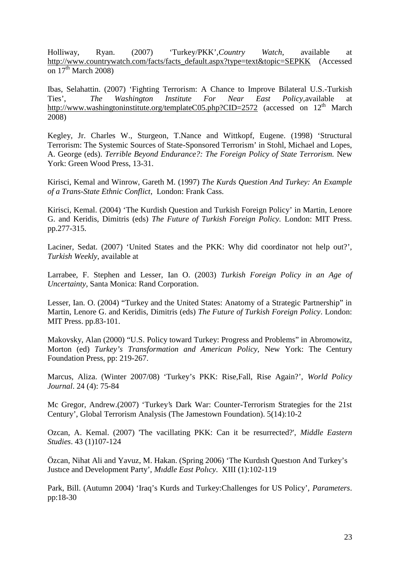Holliway, Ryan. (2007) •Turkey/PKKG puntry Watb, available at [http://www.countrywatch.com/facts/facts\\_default.a](http://www.countrywatch.com/facts/facts_default.aspx)spx?type=text&topic=SEPKKcessed on  $1\overline{7}$ <sup>h</sup> March 2008)

Ibas, Selahattin. (2007) • Fighting Terrori: A Chance to Improve Bilateral U. Surkish Ties€, The Washington Institute For Near East Polaxiailable at [http://www.washingtoninstitute.org/templateC05.](http://www.washingtoninstitute.org/templateC05.php)php?CID=2570 accessed on 1<sup>th</sup> March 2008)

Kegley, Jr. Charles W., Sturgeon, T.Nance and Wittkopf, Eugene. (1998) •Structural Terrorism: The Systemic Sources of St&tonsored Terrorism€ in Stohl, Michael and Lopes, A. George (eds)Terrible Beyond Endurance?: The Foreignolicy of State Terrorism.New York: Green Wood Press, -1331.

Kirisci, Kemal and Winrow, Gareth M. (1997) he Kurds Question And Turkey: An Example of a TransState Ethnic Conflict London: Frank Cass.

Kirisci, Kemal. (2004) •The Kurdish Question and Traish Foreign Policy€ in Martin, Lenore G. and Keridis, Dimitris (eds)The Future of Turkish Foreign Policy London: MIT Press. pp.277315.

Laciner, Sedat. (2007) •United States and the PKK: Why did coordinator not help out?€, Turkish Weeklyavailable a

Larrabee, F. Stephen and Lesser, Ian O. (20003 kish Foreign Policy in an Age of Uncertainty, Santa Monica: Rand Corporation.

Lesser, Ian. O. (2004) Turkey and the United States: Anatomy of a Strategic Partnershipf in Martin, Lenore G. and KeridisDimitris (eds)The Future of Turkish Foreign Polickondon: MIT Press. pp.8301.

Makovsky, Alan (2000) , U.S. Policy toward Turkey: Progress and Problems f in Abromowitz, Morton (ed) Turkey, Transformation and American PolicMew York: The Century Foundation Press, pp: 24267.

Marcus, Aliza. (Winter 2007/08) •Turkey€s PKK: Rise,Fall, Rise AgaMoned Policy Journal 24 (4): 7584

Mc Gregor, Andrew.(2007) •Turkey's Dark War: Counter rorism Strategies for the 21st Century€, Global Terrorism Almais (The Jamestown Foundation). 5(14)210

Ozcan, A. Kemal. (2007) 'The vacillating PKK: Can it be resurrected d'elle Eastern Studies 43 (1)107124

ˆzcan, Nihat Ali and Yavuz, M. Hakan. (Spring 2006) •The Kurd‡sh Quest‡on And Turkey€s Just‡ce and evelopment Party foldle East Polf.c XIII (1):102-119

Park, Bill. (Autumn 2004) •Iraq€s Kurds and Turkey: Challenges for US Po Piang Emeters pp:18-30